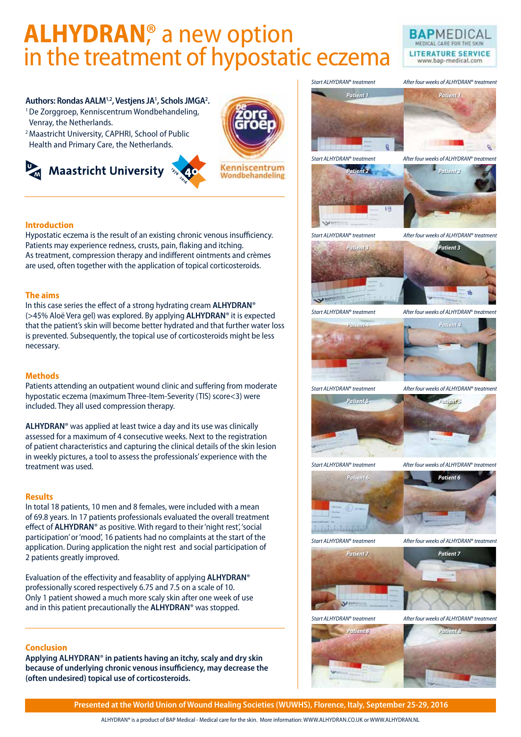# **ALHYDRAN**,<sup>®</sup> a new option<br>in the treatment of hypostatic eczema



#### **Authors: Rondas AALM1,2, Vestjens JA1 , Schols JMGA2 .**

- 1De Zorggroep, Kenniscentrum Wondbehandeling,
- Venray, the Netherlands.

**Introduction**

**The aims** 

necessary.

**Methods**

treatment was used.

2 patients greatly improved.

**Results** 

<sup>2</sup> Maastricht University, CAPHRI, School of Public Health and Primary Care, the Netherlands.



included. They all used compression therapy.

Hypostatic eczema is the result of an existing chronic venous insufficiency. Patients may experience redness, crusts, pain, flaking and itching. As treatment, compression therapy and indifferent ointments and crèmes are used, often together with the application of topical corticosteroids.

In this case series the effect of a strong hydrating cream **ALHYDRAN**® (>45% Aloë Vera gel) was explored. By applying **ALHYDRAN**® it is expected that the patient's skin will become better hydrated and that further water loss is prevented. Subsequently, the topical use of corticosteroids might be less

Patients attending an outpatient wound clinic and suffering from moderate hypostatic eczema (maximum Three-Item-Severity (TIS) score<3) were

**ALHYDRAN**® was applied at least twice a day and its use was clinically assessed for a maximum of 4 consecutive weeks. Next to the registration of patient characteristics and capturing the clinical details of the skin lesion in weekly pictures, a tool to assess the professionals' experience with the

In total 18 patients, 10 men and 8 females, were included with a mean of 69.8 years. In 17 patients professionals evaluated the overall treatment effect of **ALHYDRAN**® as positive. With regard to their 'night rest', 'social participation' or 'mood', 16 patients had no complaints at the start of the application. During application the night rest and social participation of

Evaluation of the effectivity and feasablity of applying **ALHYDRAN**® professionally scored respectively 6.75 and 7.5 on a scale of 10. Only 1 patient showed a much more scaly skin after one week of use and in this patient precautionally the **ALHYDRAN**® was stopped.

















*Start ALHYDRAN*® *treatment After four weeks of ALHYDRAN*® *treatment*





*Start ALHYDRAN*® *treatment After four weeks of ALHYDRAN*® *treatment*



*Patient 6 Patient 6*

*Start ALHYDRAN*® *treatment After four weeks of ALHYDRAN*® *treatment*









#### **Conclusion**

**Applying ALHYDRAN**® **in patients having an itchy, scaly and dry skin because of underlying chronic venous insufficiency, may decrease the (often undesired) topical use of corticosteroids.**

**Presented at the World Union of Wound Healing Societies (WUWHS), Florence, Italy, September 25-29, 2016**